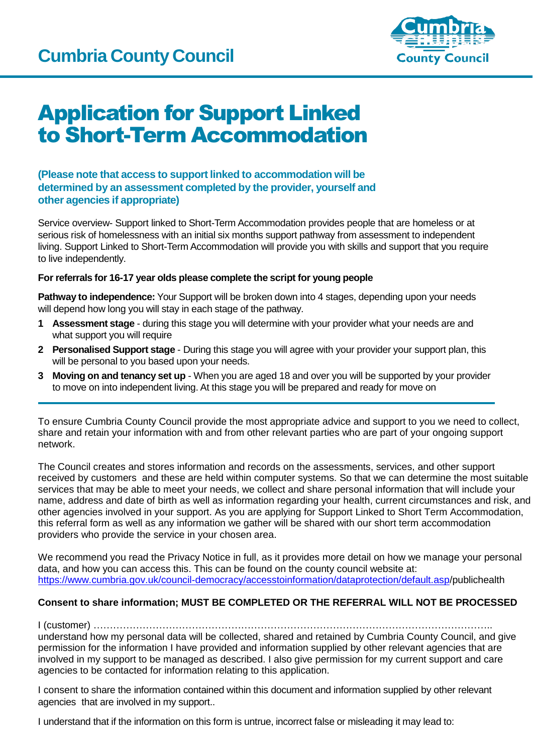

# Application for Support Linked to Short-Term Accommodation

## **(Please note that access to support linked to accommodation will be determined by an assessment completed by the provider, yourself and other agencies if appropriate)**

Service overview- Support linked to Short-Term Accommodation provides people that are homeless or at serious risk of homelessness with an initial six months support pathway from assessment to independent living. Support Linked to Short-Term Accommodation will provide you with skills and support that you require to live independently.

## **For referrals for 16-17 year olds please complete the script for young people**

**Pathway to independence:** Your Support will be broken down into 4 stages, depending upon your needs will depend how long you will stay in each stage of the pathway.

- **1 Assessment stage** during this stage you will determine with your provider what your needs are and what support you will require
- **2 Personalised Support stage** During this stage you will agree with your provider your support plan, this will be personal to you based upon your needs.
- **3 Moving on and tenancy set up** When you are aged 18 and over you will be supported by your provider to move on into independent living. At this stage you will be prepared and ready for move on

To ensure Cumbria County Council provide the most appropriate advice and support to you we need to collect, share and retain your information with and from other relevant parties who are part of your ongoing support network.

The Council creates and stores information and records on the assessments, services, and other support received by customers and these are held within computer systems. So that we can determine the most suitable services that may be able to meet your needs, we collect and share personal information that will include your name, address and date of birth as well as information regarding your health, current circumstances and risk, and other agencies involved in your support. As you are applying for Support Linked to Short Term Accommodation, this referral form as well as any information we gather will be shared with our short term accommodation providers who provide the service in your chosen area.

We recommend you read the Privacy Notice in full, as it provides more detail on how we manage your personal data, and how you can access this. This can be found on the county council website at: [https://www.cumbria.gov.uk/council-democracy/accesstoinformation/dataprotection/default.asp/](https://www.cumbria.gov.uk/council-democracy/accesstoinformation/dataprotection/default.asp)publichealth

## **Consent to share information; MUST BE COMPLETED OR THE REFERRAL WILL NOT BE PROCESSED**

## I (customer) …………………………………………………………………………………………………………..

understand how my personal data will be collected, shared and retained by Cumbria County Council, and give permission for the information I have provided and information supplied by other relevant agencies that are involved in my support to be managed as described. I also give permission for my current support and care agencies to be contacted for information relating to this application.

I consent to share the information contained within this document and information supplied by other relevant agencies that are involved in my support..

I understand that if the information on this form is untrue, incorrect false or misleading it may lead to: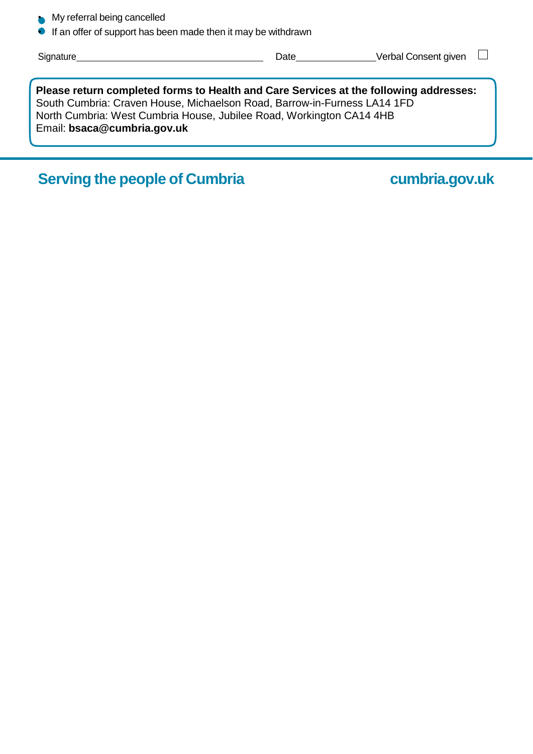- My referral being cancelled
- If an offer of support has been made then it may be withdrawn

| Signature                                                                                                                                                                                                                                                                | Date | Verbal Consent given |
|--------------------------------------------------------------------------------------------------------------------------------------------------------------------------------------------------------------------------------------------------------------------------|------|----------------------|
| Please return completed forms to Health and Care Services at the following addresses:<br>South Cumbria: Craven House, Michaelson Road, Barrow-in-Furness LA14 1FD<br>North Cumbria: West Cumbria House, Jubilee Road, Workington CA14 4HB<br>Email: bsaca@cumbria.gov.uk |      |                      |

**Serving the people of Cumbria cumbria.gov.uk**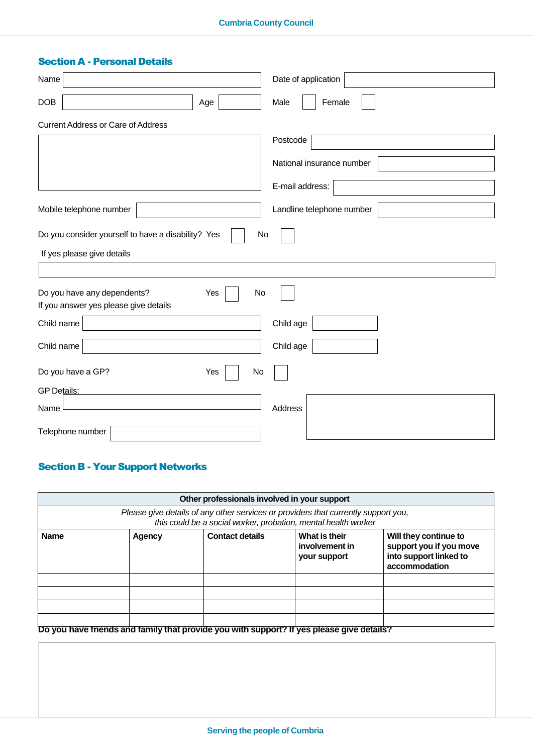## **Cumbria County Council**

## Section A - Personal Details

| Name                                                     | Date of application       |
|----------------------------------------------------------|---------------------------|
| <b>DOB</b><br>Age                                        | Female<br>Male            |
| <b>Current Address or Care of Address</b>                |                           |
|                                                          | Postcode                  |
|                                                          | National insurance number |
|                                                          | E-mail address:           |
| Mobile telephone number                                  | Landline telephone number |
| Do you consider yourself to have a disability? Yes<br>No |                           |
| If yes please give details                               |                           |
|                                                          |                           |
| Do you have any dependents?<br>Yes<br>No                 |                           |
| If you answer yes please give details                    |                           |
| Child name                                               | Child age                 |
| Child name                                               | Child age                 |
| Do you have a GP?<br>Yes<br>No                           |                           |
| GP Details:                                              |                           |
| Name                                                     | Address                   |
| Telephone number                                         |                           |

## Section B - Your Support Networks

|                                                                                                                                                      |        | Other professionals involved in your support                                              |                                                 |                                                                                             |  |
|------------------------------------------------------------------------------------------------------------------------------------------------------|--------|-------------------------------------------------------------------------------------------|-------------------------------------------------|---------------------------------------------------------------------------------------------|--|
| Please give details of any other services or providers that currently support you,<br>this could be a social worker, probation, mental health worker |        |                                                                                           |                                                 |                                                                                             |  |
| <b>Name</b>                                                                                                                                          | Agency | <b>Contact details</b>                                                                    | What is their<br>involvement in<br>your support | Will they continue to<br>support you if you move<br>into support linked to<br>accommodation |  |
|                                                                                                                                                      |        |                                                                                           |                                                 |                                                                                             |  |
|                                                                                                                                                      |        |                                                                                           |                                                 |                                                                                             |  |
|                                                                                                                                                      |        | Do you have friends and family that provide you with support? If yes please give details? |                                                 |                                                                                             |  |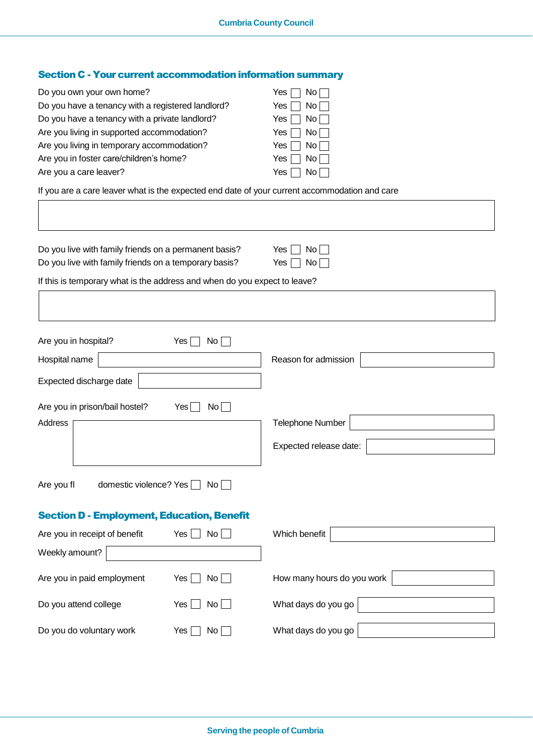## Section C - Your current accommodation information summary

| Do you own your own home?                         | $No \Box$<br>Yes. |
|---------------------------------------------------|-------------------|
| Do you have a tenancy with a registered landlord? | $No$    <br>Yes   |
| Do you have a tenancy with a private landlord?    | No    <br>Yes l   |
| Are you living in supported accommodation?        | No II<br>Yes I    |
| Are you living in temporary accommodation?        | No    <br>Yes I   |
| Are you in foster care/children's home?           | $No$    <br>Yes   |
| Are you a care leaver?                            | No II<br>Yes      |
|                                                   |                   |

If you are a care leaver what is the expected end date of your current accommodation and care

| Do you live with family friends on a permanent basis?<br>Yes<br>No<br>Do you live with family friends on a temporary basis?<br>Yes<br>No |                        |                                                   |  |  |
|------------------------------------------------------------------------------------------------------------------------------------------|------------------------|---------------------------------------------------|--|--|
| If this is temporary what is the address and when do you expect to leave?                                                                |                        |                                                   |  |  |
| Are you in hospital?<br>Hospital name<br>Expected discharge date                                                                         | Yes<br>No <sub>1</sub> | Reason for admission                              |  |  |
| Are you in prison/bail hostel?<br>Address                                                                                                | No<br>Yes              | <b>Telephone Number</b><br>Expected release date: |  |  |
| Are you fl<br>domestic violence? Yes                                                                                                     | No <sub>1</sub>        |                                                   |  |  |
| <b>Section D - Employment, Education, Benefit</b><br>Are you in receipt of benefit<br>Weekly amount?                                     | No<br>Yes              | Which benefit                                     |  |  |
| Are you in paid employment                                                                                                               | Yes<br>No              | How many hours do you work                        |  |  |
| Do you attend college<br>Do you do voluntary work                                                                                        | Yes<br>No<br>Yes<br>No | What days do you go<br>What days do you go        |  |  |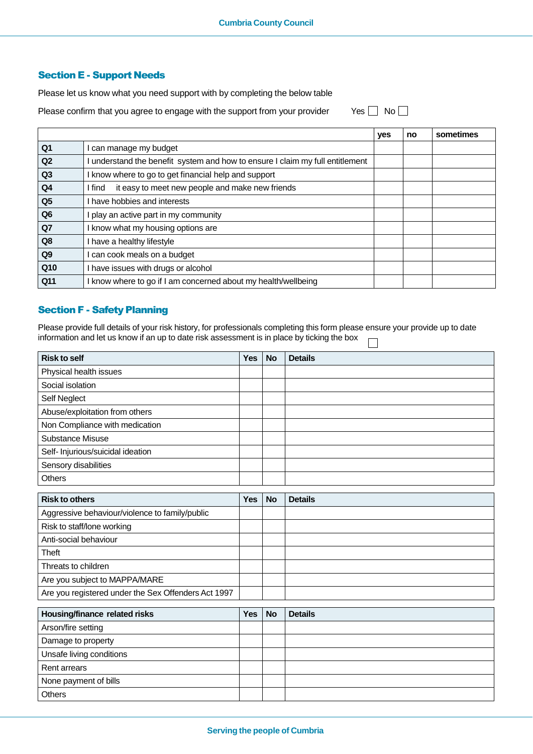## Section E - Support Needs

Please let us know what you need support with by completing the below table

Please confirm that you agree to engage with the support from your provider Yes  $\Box$  No  $\Box$ 

|                |                                                                               | yes | no | sometimes |
|----------------|-------------------------------------------------------------------------------|-----|----|-----------|
| Q <sub>1</sub> | can manage my budget                                                          |     |    |           |
| Q <sub>2</sub> | I understand the benefit system and how to ensure I claim my full entitlement |     |    |           |
| Q <sub>3</sub> | I know where to go to get financial help and support                          |     |    |           |
| Q4             | it easy to meet new people and make new friends<br>I find                     |     |    |           |
| Q <sub>5</sub> | I have hobbies and interests                                                  |     |    |           |
| Q <sub>6</sub> | play an active part in my community                                           |     |    |           |
| Q7             | know what my housing options are                                              |     |    |           |
| Q8             | I have a healthy lifestyle                                                    |     |    |           |
| Q <sub>9</sub> | can cook meals on a budget                                                    |     |    |           |
| Q10            | I have issues with drugs or alcohol                                           |     |    |           |
| Q11            | I know where to go if I am concerned about my health/wellbeing                |     |    |           |

## Section F - Safety Planning

Please provide full details of your risk history, for professionals completing this form please ensure your provide up to date information and let us know if an up to date risk assessment is in place by ticking the box  $\Box$ 

| <b>Risk to self</b>                                 | <b>Yes</b> | <b>No</b> | <b>Details</b> |
|-----------------------------------------------------|------------|-----------|----------------|
| Physical health issues                              |            |           |                |
| Social isolation                                    |            |           |                |
| Self Neglect                                        |            |           |                |
| Abuse/exploitation from others                      |            |           |                |
| Non Compliance with medication                      |            |           |                |
| <b>Substance Misuse</b>                             |            |           |                |
| Self- Injurious/suicidal ideation                   |            |           |                |
| Sensory disabilities                                |            |           |                |
| Others                                              |            |           |                |
| <b>Risk to others</b>                               |            |           |                |
|                                                     | <b>Yes</b> | <b>No</b> | <b>Details</b> |
| Aggressive behaviour/violence to family/public      |            |           |                |
| Risk to staff/lone working                          |            |           |                |
| Anti-social behaviour                               |            |           |                |
| <b>Theft</b>                                        |            |           |                |
| Threats to children                                 |            |           |                |
| Are you subject to MAPPA/MARE                       |            |           |                |
| Are you registered under the Sex Offenders Act 1997 |            |           |                |
| Housing/finance related risks                       | Yes        | <b>No</b> | <b>Details</b> |
|                                                     |            |           |                |
| Arson/fire setting                                  |            |           |                |
| Damage to property                                  |            |           |                |
| Unsafe living conditions                            |            |           |                |
| <b>Rent arrears</b>                                 |            |           |                |
| None payment of bills                               |            |           |                |
| Others                                              |            |           |                |